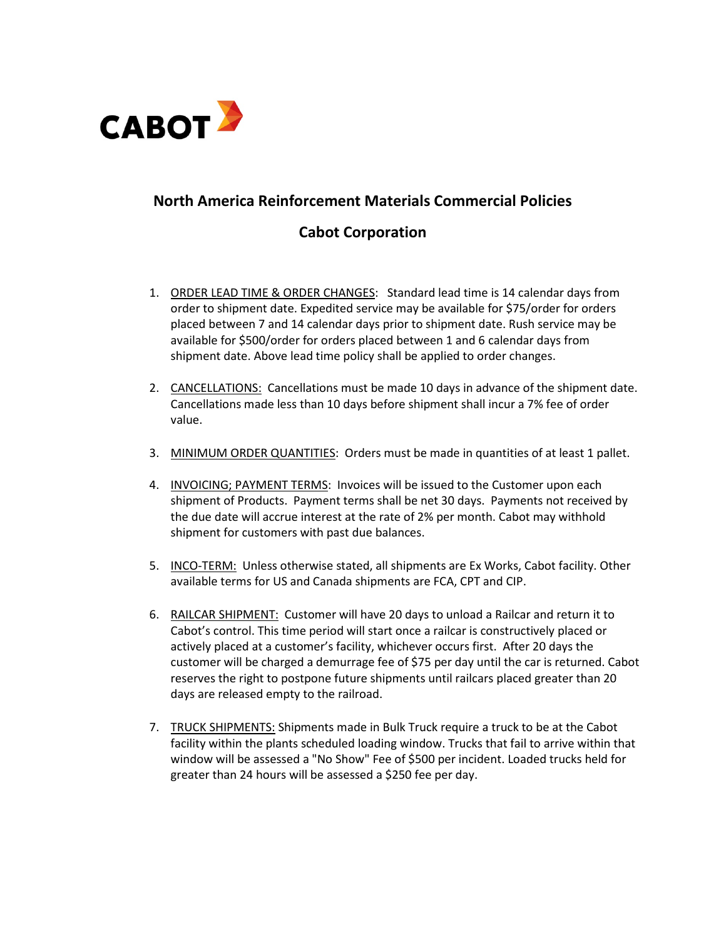

## **North America Reinforcement Materials Commercial Policies**

## **Cabot Corporation**

- 1. ORDER LEAD TIME & ORDER CHANGES: Standard lead time is 14 calendar days from order to shipment date. Expedited service may be available for \$75/order for orders placed between 7 and 14 calendar days prior to shipment date. Rush service may be available for \$500/order for orders placed between 1 and 6 calendar days from shipment date. Above lead time policy shall be applied to order changes.
- 2. CANCELLATIONS: Cancellations must be made 10 days in advance of the shipment date. Cancellations made less than 10 days before shipment shall incur a 7% fee of order value.
- 3. MINIMUM ORDER QUANTITIES: Orders must be made in quantities of at least 1 pallet.
- 4. INVOICING; PAYMENT TERMS: Invoices will be issued to the Customer upon each shipment of Products. Payment terms shall be net 30 days. Payments not received by the due date will accrue interest at the rate of 2% per month. Cabot may withhold shipment for customers with past due balances.
- 5. INCO-TERM: Unless otherwise stated, all shipments are Ex Works, Cabot facility. Other available terms for US and Canada shipments are FCA, CPT and CIP.
- 6. RAILCAR SHIPMENT: Customer will have 20 days to unload a Railcar and return it to Cabot's control. This time period will start once a railcar is constructively placed or actively placed at a customer's facility, whichever occurs first. After 20 days the customer will be charged a demurrage fee of \$75 per day until the car is returned. Cabot reserves the right to postpone future shipments until railcars placed greater than 20 days are released empty to the railroad.
- 7. TRUCK SHIPMENTS: Shipments made in Bulk Truck require a truck to be at the Cabot facility within the plants scheduled loading window. Trucks that fail to arrive within that window will be assessed a "No Show" Fee of \$500 per incident. Loaded trucks held for greater than 24 hours will be assessed a \$250 fee per day.